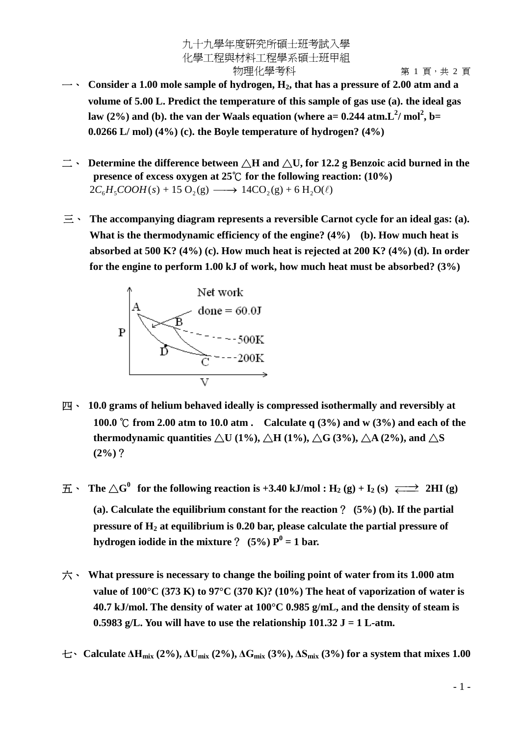## 九十九學年度研究所碩士班考試入學 化學工程與材料工程學系碩士班甲組 物理化學考科 有一個 有 2 頁, 共 2 頁

- 一、 **Consider a 1.00 mole sample of hydrogen, H2, that has a pressure of 2.00 atm and a volume of 5.00 L. Predict the temperature of this sample of gas use (a). the ideal gas law (2%) and (b). the van der Waals equation (where a= 0.244 atm.L<sup>2</sup> / mol<sup>2</sup> , b= 0.0266 L/ mol) (4%) (c). the Boyle temperature of hydrogen? (4%)**
- $\Box$   $\cdot$  Determine the difference between  $\triangle H$  and  $\triangle U$ , for 12.2 g Benzoic acid burned in the **presence of excess oxygen at 25°℃ for the following reaction:**  $(10%)$  $2C<sub>6</sub>H<sub>5</sub>COOH(s) + 15 O<sub>2</sub>(g) \longrightarrow 14CO<sub>2</sub>(g) + 6 H<sub>2</sub>O(l)$
- 三、 **The accompanying diagram represents a reversible Carnot cycle for an ideal gas: (a). What is the thermodynamic efficiency of the engine? (4%) (b). How much heat is absorbed at 500 K? (4%) (c). How much heat is rejected at 200 K? (4%) (d). In order for the engine to perform 1.00 kJ of work, how much heat must be absorbed? (3%)**



- 四、 **10.0 grams of helium behaved ideally is compressed isothermally and reversibly at 100.0** °C from 2.00 atm to 10.0 atm . Calculate q (3%) and w (3%) and each of the **thermodynamic quantities**  $\triangle$ U (1%),  $\triangle$ H (1%),  $\triangle$ G (3%),  $\triangle$ A (2%), and  $\triangle$ S **(2%)**?
- $\overline{\textbf{H}}$   $\cdot$  **The**  $\triangle \textbf{G}^0$  **for the following reaction is +3.40 kJ/mol : H<sub>2</sub> (g) + I<sub>2</sub> (s)**  $\overrightarrow{ }$  **2HI (g) (a). Calculate the equilibrium constant for the reaction**? **(5%) (b). If the partial pressure of H<sup>2</sup> at equilibrium is 0.20 bar, please calculate the partial pressure of hydrogen iodide in the mixture ?**  $(5\%)$  $P^0 = 1$  **bar.**
- 六、 **What pressure is necessary to change the boiling point of water from its 1.000 atm value of 100°C (373 K) to 97°C (370 K)? (10%) The heat of vaporization of water is 40.7 kJ/mol. The density of water at 100°C 0.985 g/mL, and the density of steam is 0.5983 g/L. You will have to use the relationship 101.32 J = 1 L-atm.**
- 七、 **CalculateΔHmix (2%), ΔUmix (2%), ΔGmix (3%), ΔSmix (3%) for a system that mixes 1.00**